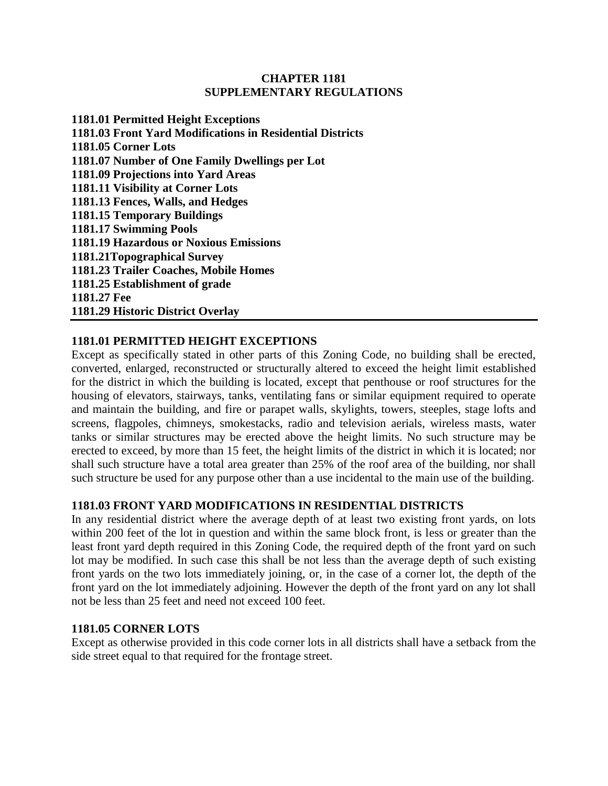#### **CHAPTER 1181 SUPPLEMENTARY REGULATIONS**

**1181.01 Permitted Height Exceptions 1181.03 Front Yard Modifications in Residential Districts 1181.05 Corner Lots 1181.07 Number of One Family Dwellings per Lot 1181.09 Projections into Yard Areas 1181.11 Visibility at Corner Lots 1181.13 Fences, Walls, and Hedges 1181.15 Temporary Buildings 1181.17 Swimming Pools 1181.19 Hazardous or Noxious Emissions 1181.21Topographical Survey 1181.23 Trailer Coaches, Mobile Homes 1181.25 Establishment of grade 1181.27 Fee 1181.29 Historic District Overlay**

## **1181.01 PERMITTED HEIGHT EXCEPTIONS**

Except as specifically stated in other parts of this Zoning Code, no building shall be erected, converted, enlarged, reconstructed or structurally altered to exceed the height limit established for the district in which the building is located, except that penthouse or roof structures for the housing of elevators, stairways, tanks, ventilating fans or similar equipment required to operate and maintain the building, and fire or parapet walls, skylights, towers, steeples, stage lofts and screens, flagpoles, chimneys, smokestacks, radio and television aerials, wireless masts, water tanks or similar structures may be erected above the height limits. No such structure may be erected to exceed, by more than 15 feet, the height limits of the district in which it is located; nor shall such structure have a total area greater than 25% of the roof area of the building, nor shall such structure be used for any purpose other than a use incidental to the main use of the building.

### **1181.03 FRONT YARD MODIFICATIONS IN RESIDENTIAL DISTRICTS**

In any residential district where the average depth of at least two existing front yards, on lots within 200 feet of the lot in question and within the same block front, is less or greater than the least front yard depth required in this Zoning Code, the required depth of the front yard on such lot may be modified. In such case this shall be not less than the average depth of such existing front yards on the two lots immediately joining, or, in the case of a corner lot, the depth of the front yard on the lot immediately adjoining. However the depth of the front yard on any lot shall not be less than 25 feet and need not exceed 100 feet.

### **1181.05 CORNER LOTS**

Except as otherwise provided in this code corner lots in all districts shall have a setback from the side street equal to that required for the frontage street.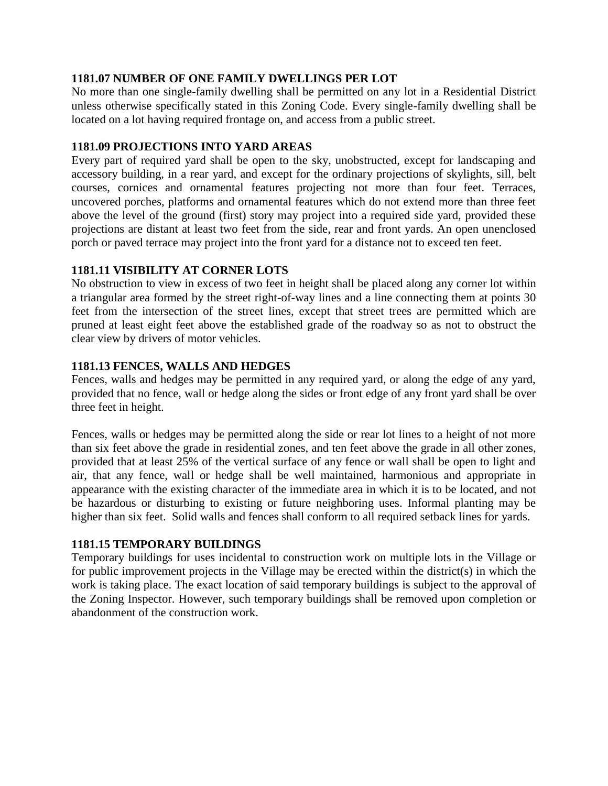# **1181.07 NUMBER OF ONE FAMILY DWELLINGS PER LOT**

No more than one single-family dwelling shall be permitted on any lot in a Residential District unless otherwise specifically stated in this Zoning Code. Every single-family dwelling shall be located on a lot having required frontage on, and access from a public street.

## **1181.09 PROJECTIONS INTO YARD AREAS**

Every part of required yard shall be open to the sky, unobstructed, except for landscaping and accessory building, in a rear yard, and except for the ordinary projections of skylights, sill, belt courses, cornices and ornamental features projecting not more than four feet. Terraces, uncovered porches, platforms and ornamental features which do not extend more than three feet above the level of the ground (first) story may project into a required side yard, provided these projections are distant at least two feet from the side, rear and front yards. An open unenclosed porch or paved terrace may project into the front yard for a distance not to exceed ten feet.

# **1181.11 VISIBILITY AT CORNER LOTS**

No obstruction to view in excess of two feet in height shall be placed along any corner lot within a triangular area formed by the street right-of-way lines and a line connecting them at points 30 feet from the intersection of the street lines, except that street trees are permitted which are pruned at least eight feet above the established grade of the roadway so as not to obstruct the clear view by drivers of motor vehicles.

## **1181.13 FENCES, WALLS AND HEDGES**

Fences, walls and hedges may be permitted in any required yard, or along the edge of any yard, provided that no fence, wall or hedge along the sides or front edge of any front yard shall be over three feet in height.

Fences, walls or hedges may be permitted along the side or rear lot lines to a height of not more than six feet above the grade in residential zones, and ten feet above the grade in all other zones, provided that at least 25% of the vertical surface of any fence or wall shall be open to light and air, that any fence, wall or hedge shall be well maintained, harmonious and appropriate in appearance with the existing character of the immediate area in which it is to be located, and not be hazardous or disturbing to existing or future neighboring uses. Informal planting may be higher than six feet. Solid walls and fences shall conform to all required setback lines for yards.

# **1181.15 TEMPORARY BUILDINGS**

Temporary buildings for uses incidental to construction work on multiple lots in the Village or for public improvement projects in the Village may be erected within the district(s) in which the work is taking place. The exact location of said temporary buildings is subject to the approval of the Zoning Inspector. However, such temporary buildings shall be removed upon completion or abandonment of the construction work.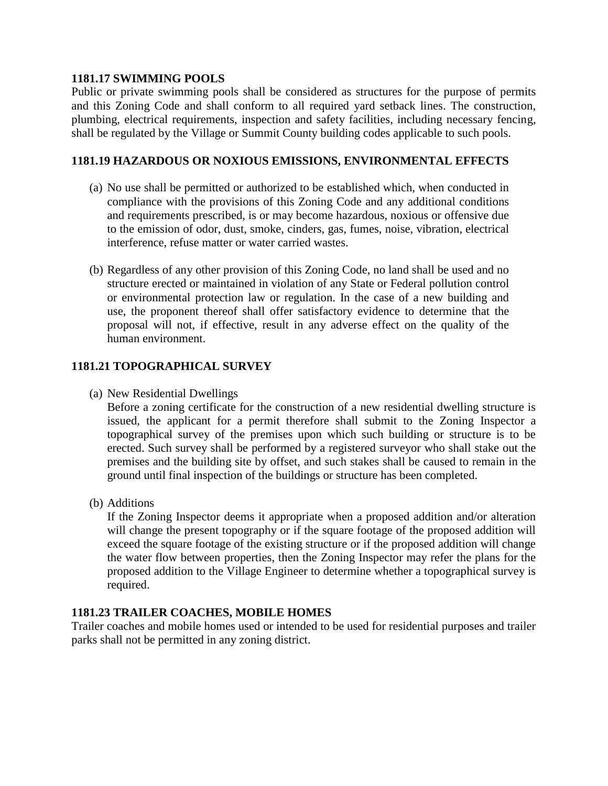## **1181.17 SWIMMING POOLS**

Public or private swimming pools shall be considered as structures for the purpose of permits and this Zoning Code and shall conform to all required yard setback lines. The construction, plumbing, electrical requirements, inspection and safety facilities, including necessary fencing, shall be regulated by the Village or Summit County building codes applicable to such pools.

## **1181.19 HAZARDOUS OR NOXIOUS EMISSIONS, ENVIRONMENTAL EFFECTS**

- (a) No use shall be permitted or authorized to be established which, when conducted in compliance with the provisions of this Zoning Code and any additional conditions and requirements prescribed, is or may become hazardous, noxious or offensive due to the emission of odor, dust, smoke, cinders, gas, fumes, noise, vibration, electrical interference, refuse matter or water carried wastes.
- (b) Regardless of any other provision of this Zoning Code, no land shall be used and no structure erected or maintained in violation of any State or Federal pollution control or environmental protection law or regulation. In the case of a new building and use, the proponent thereof shall offer satisfactory evidence to determine that the proposal will not, if effective, result in any adverse effect on the quality of the human environment.

# **1181.21 TOPOGRAPHICAL SURVEY**

(a) New Residential Dwellings

Before a zoning certificate for the construction of a new residential dwelling structure is issued, the applicant for a permit therefore shall submit to the Zoning Inspector a topographical survey of the premises upon which such building or structure is to be erected. Such survey shall be performed by a registered surveyor who shall stake out the premises and the building site by offset, and such stakes shall be caused to remain in the ground until final inspection of the buildings or structure has been completed.

(b) Additions

If the Zoning Inspector deems it appropriate when a proposed addition and/or alteration will change the present topography or if the square footage of the proposed addition will exceed the square footage of the existing structure or if the proposed addition will change the water flow between properties, then the Zoning Inspector may refer the plans for the proposed addition to the Village Engineer to determine whether a topographical survey is required.

### **1181.23 TRAILER COACHES, MOBILE HOMES**

Trailer coaches and mobile homes used or intended to be used for residential purposes and trailer parks shall not be permitted in any zoning district.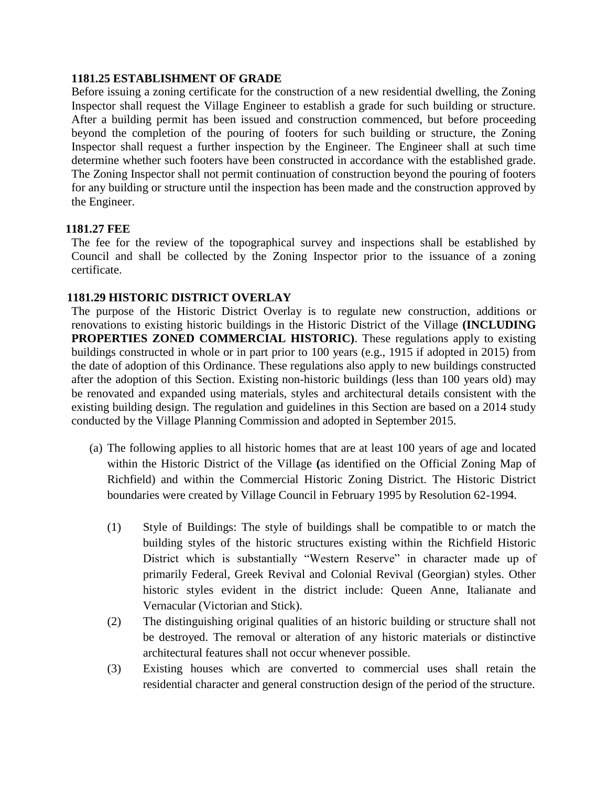#### **1181.25 ESTABLISHMENT OF GRADE**

Before issuing a zoning certificate for the construction of a new residential dwelling, the Zoning Inspector shall request the Village Engineer to establish a grade for such building or structure. After a building permit has been issued and construction commenced, but before proceeding beyond the completion of the pouring of footers for such building or structure, the Zoning Inspector shall request a further inspection by the Engineer. The Engineer shall at such time determine whether such footers have been constructed in accordance with the established grade. The Zoning Inspector shall not permit continuation of construction beyond the pouring of footers for any building or structure until the inspection has been made and the construction approved by the Engineer.

### **1181.27 FEE**

The fee for the review of the topographical survey and inspections shall be established by Council and shall be collected by the Zoning Inspector prior to the issuance of a zoning certificate.

### **1181.29 HISTORIC DISTRICT OVERLAY**

The purpose of the Historic District Overlay is to regulate new construction, additions or renovations to existing historic buildings in the Historic District of the Village **(INCLUDING PROPERTIES ZONED COMMERCIAL HISTORIC)**. These regulations apply to existing buildings constructed in whole or in part prior to 100 years (e.g., 1915 if adopted in 2015) from the date of adoption of this Ordinance. These regulations also apply to new buildings constructed after the adoption of this Section. Existing non-historic buildings (less than 100 years old) may be renovated and expanded using materials, styles and architectural details consistent with the existing building design. The regulation and guidelines in this Section are based on a 2014 study conducted by the Village Planning Commission and adopted in September 2015.

- (a) The following applies to all historic homes that are at least 100 years of age and located within the Historic District of the Village **(**as identified on the Official Zoning Map of Richfield) and within the Commercial Historic Zoning District. The Historic District boundaries were created by Village Council in February 1995 by Resolution 62-1994.
	- (1) Style of Buildings: The style of buildings shall be compatible to or match the building styles of the historic structures existing within the Richfield Historic District which is substantially "Western Reserve" in character made up of primarily Federal, Greek Revival and Colonial Revival (Georgian) styles. Other historic styles evident in the district include: Queen Anne, Italianate and Vernacular (Victorian and Stick).
	- (2) The distinguishing original qualities of an historic building or structure shall not be destroyed. The removal or alteration of any historic materials or distinctive architectural features shall not occur whenever possible.
	- (3) Existing houses which are converted to commercial uses shall retain the residential character and general construction design of the period of the structure.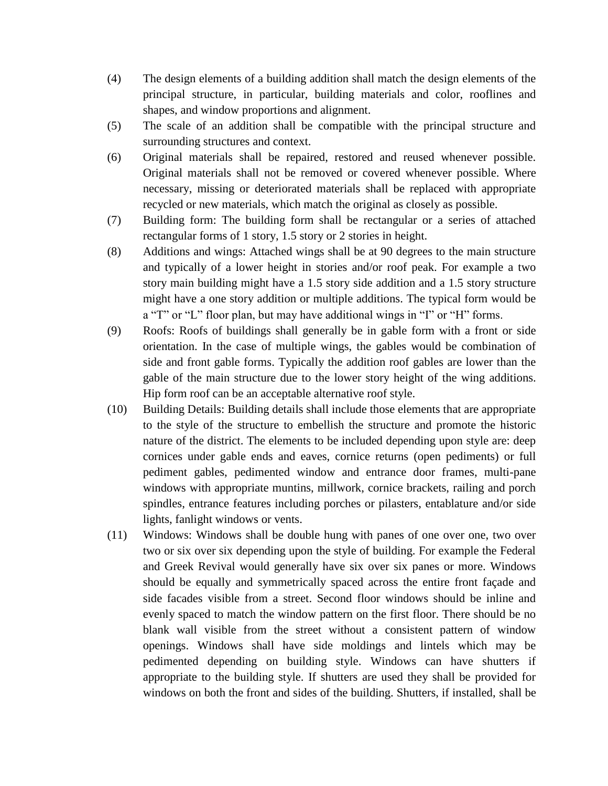- (4) The design elements of a building addition shall match the design elements of the principal structure, in particular, building materials and color, rooflines and shapes, and window proportions and alignment.
- (5) The scale of an addition shall be compatible with the principal structure and surrounding structures and context.
- (6) Original materials shall be repaired, restored and reused whenever possible. Original materials shall not be removed or covered whenever possible. Where necessary, missing or deteriorated materials shall be replaced with appropriate recycled or new materials, which match the original as closely as possible.
- (7) Building form: The building form shall be rectangular or a series of attached rectangular forms of 1 story, 1.5 story or 2 stories in height.
- (8) Additions and wings: Attached wings shall be at 90 degrees to the main structure and typically of a lower height in stories and/or roof peak. For example a two story main building might have a 1.5 story side addition and a 1.5 story structure might have a one story addition or multiple additions. The typical form would be a "T" or "L" floor plan, but may have additional wings in "I" or "H" forms.
- (9) Roofs: Roofs of buildings shall generally be in gable form with a front or side orientation. In the case of multiple wings, the gables would be combination of side and front gable forms. Typically the addition roof gables are lower than the gable of the main structure due to the lower story height of the wing additions. Hip form roof can be an acceptable alternative roof style.
- (10) Building Details: Building details shall include those elements that are appropriate to the style of the structure to embellish the structure and promote the historic nature of the district. The elements to be included depending upon style are: deep cornices under gable ends and eaves, cornice returns (open pediments) or full pediment gables, pedimented window and entrance door frames, multi-pane windows with appropriate muntins, millwork, cornice brackets, railing and porch spindles, entrance features including porches or pilasters, entablature and/or side lights, fanlight windows or vents.
- (11) Windows: Windows shall be double hung with panes of one over one, two over two or six over six depending upon the style of building. For example the Federal and Greek Revival would generally have six over six panes or more. Windows should be equally and symmetrically spaced across the entire front façade and side facades visible from a street. Second floor windows should be inline and evenly spaced to match the window pattern on the first floor. There should be no blank wall visible from the street without a consistent pattern of window openings. Windows shall have side moldings and lintels which may be pedimented depending on building style. Windows can have shutters if appropriate to the building style. If shutters are used they shall be provided for windows on both the front and sides of the building. Shutters, if installed, shall be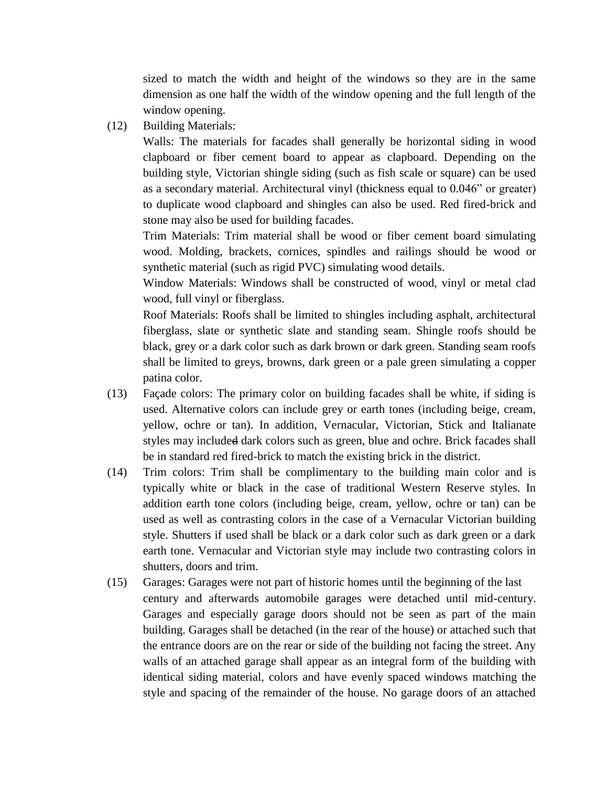sized to match the width and height of the windows so they are in the same dimension as one half the width of the window opening and the full length of the window opening.

(12) Building Materials:

Walls: The materials for facades shall generally be horizontal siding in wood clapboard or fiber cement board to appear as clapboard. Depending on the building style, Victorian shingle siding (such as fish scale or square) can be used as a secondary material. Architectural vinyl (thickness equal to 0.046" or greater) to duplicate wood clapboard and shingles can also be used. Red fired-brick and stone may also be used for building facades.

Trim Materials: Trim material shall be wood or fiber cement board simulating wood. Molding, brackets, cornices, spindles and railings should be wood or synthetic material (such as rigid PVC) simulating wood details.

Window Materials: Windows shall be constructed of wood, vinyl or metal clad wood, full vinyl or fiberglass.

Roof Materials: Roofs shall be limited to shingles including asphalt, architectural fiberglass, slate or synthetic slate and standing seam. Shingle roofs should be black, grey or a dark color such as dark brown or dark green. Standing seam roofs shall be limited to greys, browns, dark green or a pale green simulating a copper patina color.

- (13) Façade colors: The primary color on building facades shall be white, if siding is used. Alternative colors can include grey or earth tones (including beige, cream, yellow, ochre or tan). In addition, Vernacular, Victorian, Stick and Italianate styles may included dark colors such as green, blue and ochre. Brick facades shall be in standard red fired-brick to match the existing brick in the district.
- (14) Trim colors: Trim shall be complimentary to the building main color and is typically white or black in the case of traditional Western Reserve styles. In addition earth tone colors (including beige, cream, yellow, ochre or tan) can be used as well as contrasting colors in the case of a Vernacular Victorian building style. Shutters if used shall be black or a dark color such as dark green or a dark earth tone. Vernacular and Victorian style may include two contrasting colors in shutters, doors and trim.
- (15) Garages: Garages were not part of historic homes until the beginning of the last century and afterwards automobile garages were detached until mid-century. Garages and especially garage doors should not be seen as part of the main building. Garages shall be detached (in the rear of the house) or attached such that the entrance doors are on the rear or side of the building not facing the street. Any walls of an attached garage shall appear as an integral form of the building with identical siding material, colors and have evenly spaced windows matching the style and spacing of the remainder of the house. No garage doors of an attached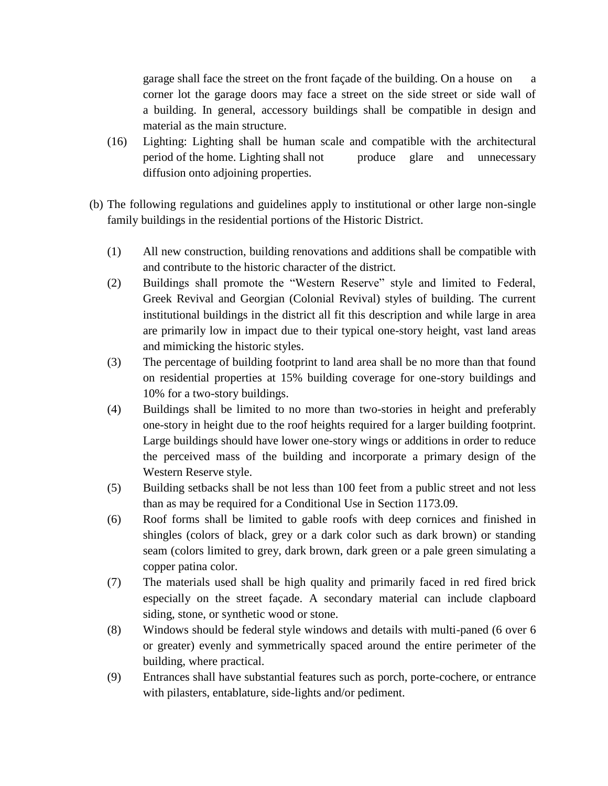garage shall face the street on the front façade of the building. On a house on a corner lot the garage doors may face a street on the side street or side wall of a building. In general, accessory buildings shall be compatible in design and material as the main structure.

- (16) Lighting: Lighting shall be human scale and compatible with the architectural period of the home. Lighting shall not produce glare and unnecessary diffusion onto adjoining properties.
- (b) The following regulations and guidelines apply to institutional or other large non-single family buildings in the residential portions of the Historic District.
	- (1) All new construction, building renovations and additions shall be compatible with and contribute to the historic character of the district.
	- (2) Buildings shall promote the "Western Reserve" style and limited to Federal, Greek Revival and Georgian (Colonial Revival) styles of building. The current institutional buildings in the district all fit this description and while large in area are primarily low in impact due to their typical one-story height, vast land areas and mimicking the historic styles.
	- (3) The percentage of building footprint to land area shall be no more than that found on residential properties at 15% building coverage for one-story buildings and 10% for a two-story buildings.
	- (4) Buildings shall be limited to no more than two-stories in height and preferably one-story in height due to the roof heights required for a larger building footprint. Large buildings should have lower one-story wings or additions in order to reduce the perceived mass of the building and incorporate a primary design of the Western Reserve style.
	- (5) Building setbacks shall be not less than 100 feet from a public street and not less than as may be required for a Conditional Use in Section 1173.09.
	- (6) Roof forms shall be limited to gable roofs with deep cornices and finished in shingles (colors of black, grey or a dark color such as dark brown) or standing seam (colors limited to grey, dark brown, dark green or a pale green simulating a copper patina color.
	- (7) The materials used shall be high quality and primarily faced in red fired brick especially on the street façade. A secondary material can include clapboard siding, stone, or synthetic wood or stone.
	- (8) Windows should be federal style windows and details with multi-paned (6 over 6 or greater) evenly and symmetrically spaced around the entire perimeter of the building, where practical.
	- (9) Entrances shall have substantial features such as porch, porte-cochere, or entrance with pilasters, entablature, side-lights and/or pediment.